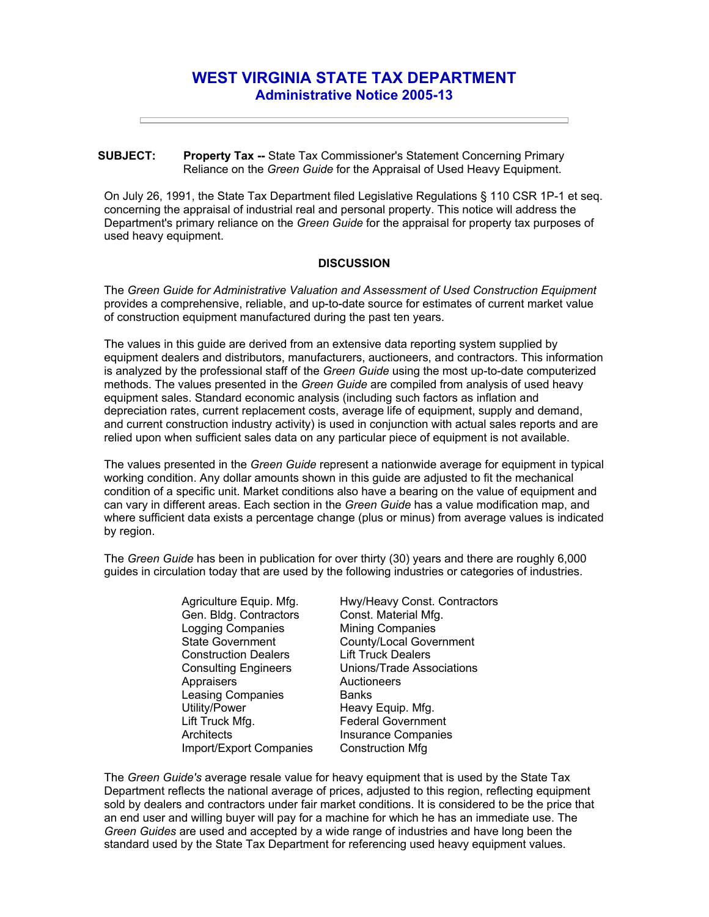## **WEST VIRGINIA STATE TAX DEPARTMENT Administrative Notice 2005-13**

## **SUBJECT: Property Tax --** State Tax Commissioner's Statement Concerning Primary Reliance on the *Green Guide* for the Appraisal of Used Heavy Equipment.

On July 26, 1991, the State Tax Department filed Legislative Regulations § 110 CSR 1P-1 et seq. concerning the appraisal of industrial real and personal property. This notice will address the Department's primary reliance on the *Green Guide* for the appraisal for property tax purposes of used heavy equipment.

## **DISCUSSION**

The *Green Guide for Administrative Valuation and Assessment of Used Construction Equipment*  provides a comprehensive, reliable, and up-to-date source for estimates of current market value of construction equipment manufactured during the past ten years.

The values in this guide are derived from an extensive data reporting system supplied by equipment dealers and distributors, manufacturers, auctioneers, and contractors. This information is analyzed by the professional staff of the *Green Guide* using the most up-to-date computerized methods. The values presented in the *Green Guide* are compiled from analysis of used heavy equipment sales. Standard economic analysis (including such factors as inflation and depreciation rates, current replacement costs, average life of equipment, supply and demand, and current construction industry activity) is used in conjunction with actual sales reports and are relied upon when sufficient sales data on any particular piece of equipment is not available.

The values presented in the *Green Guide* represent a nationwide average for equipment in typical working condition. Any dollar amounts shown in this guide are adjusted to fit the mechanical condition of a specific unit. Market conditions also have a bearing on the value of equipment and can vary in different areas. Each section in the *Green Guide* has a value modification map, and where sufficient data exists a percentage change (plus or minus) from average values is indicated by region.

The *Green Guide* has been in publication for over thirty (30) years and there are roughly 6,000 guides in circulation today that are used by the following industries or categories of industries.

> Agriculture Equip. Mfg. Gen. Bldg. Contractors Logging Companies State Government Construction Dealers Consulting Engineers **Appraisers** Leasing Companies Utility/Power Lift Truck Mfg. **Architects** Import/Export Companies

Hwy/Heavy Const. Contractors Const. Material Mfg. Mining Companies County/Local Government Lift Truck Dealers Unions/Trade Associations **Auctioneers Banks** Heavy Equip. Mfg. Federal Government Insurance Companies Construction Mfg

The *Green Guide's* average resale value for heavy equipment that is used by the State Tax Department reflects the national average of prices, adjusted to this region, reflecting equipment sold by dealers and contractors under fair market conditions. It is considered to be the price that an end user and willing buyer will pay for a machine for which he has an immediate use. The *Green Guides* are used and accepted by a wide range of industries and have long been the standard used by the State Tax Department for referencing used heavy equipment values.